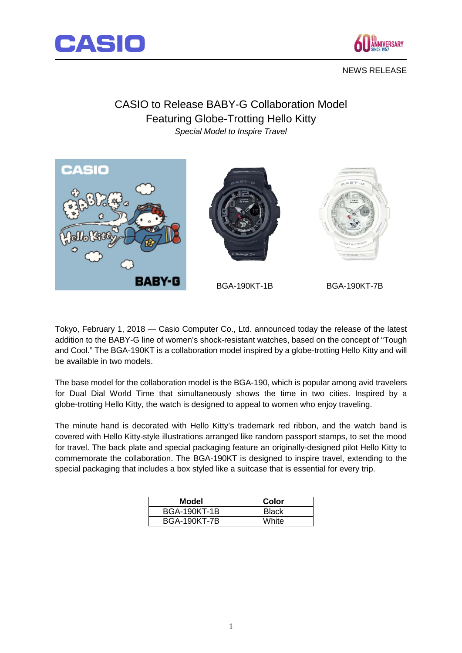



## NEWS RELEASE

## CASIO to Release BABY-G Collaboration Model Featuring Globe-Trotting Hello Kitty *Special Model to Inspire Travel*



Tokyo, February 1, 2018 — Casio Computer Co., Ltd. announced today the release of the latest addition to the BABY-G line of women's shock-resistant watches, based on the concept of "Tough and Cool." The BGA-190KT is a collaboration model inspired by a globe-trotting Hello Kitty and will be available in two models.

The base model for the collaboration model is the BGA-190, which is popular among avid travelers for Dual Dial World Time that simultaneously shows the time in two cities. Inspired by a globe-trotting Hello Kitty, the watch is designed to appeal to women who enjoy traveling.

The minute hand is decorated with Hello Kitty's trademark red ribbon, and the watch band is covered with Hello Kitty-style illustrations arranged like random passport stamps, to set the mood for travel. The back plate and special packaging feature an originally-designed pilot Hello Kitty to commemorate the collaboration. The BGA-190KT is designed to inspire travel, extending to the special packaging that includes a box styled like a suitcase that is essential for every trip.

| Model               | Color |
|---------------------|-------|
| <b>BGA-190KT-1B</b> | Black |
| <b>BGA-190KT-7B</b> | White |